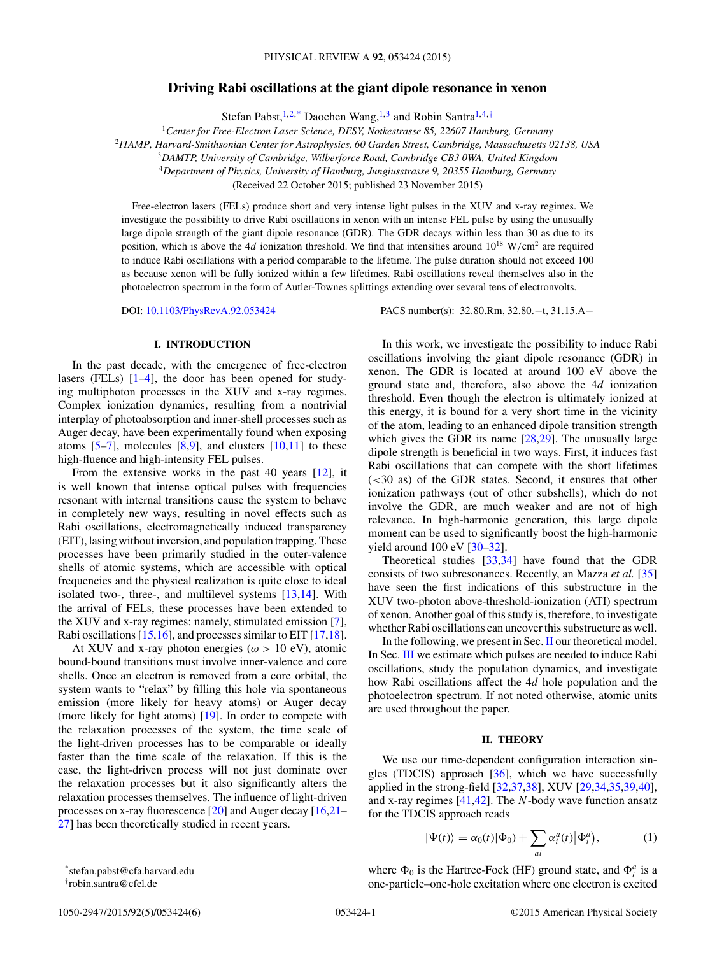# **Driving Rabi oscillations at the giant dipole resonance in xenon**

Stefan Pabst,<sup>1,2,\*</sup> Daochen Wang,<sup>1,3</sup> and Robin Santra<sup>1,4,†</sup>

<sup>1</sup>*Center for Free-Electron Laser Science, DESY, Notkestrasse 85, 22607 Hamburg, Germany*

<span id="page-0-0"></span><sup>2</sup>*ITAMP, Harvard-Smithsonian Center for Astrophysics, 60 Garden Street, Cambridge, Massachusetts 02138, USA*

<sup>3</sup>*DAMTP, University of Cambridge, Wilberforce Road, Cambridge CB3 0WA, United Kingdom*

<sup>4</sup>*Department of Physics, University of Hamburg, Jungiusstrasse 9, 20355 Hamburg, Germany*

(Received 22 October 2015; published 23 November 2015)

Free-electron lasers (FELs) produce short and very intense light pulses in the XUV and x-ray regimes. We investigate the possibility to drive Rabi oscillations in xenon with an intense FEL pulse by using the unusually large dipole strength of the giant dipole resonance (GDR). The GDR decays within less than 30 as due to its position, which is above the 4*d* ionization threshold. We find that intensities around  $10^{18}$  W/cm<sup>2</sup> are required to induce Rabi oscillations with a period comparable to the lifetime. The pulse duration should not exceed 100 as because xenon will be fully ionized within a few lifetimes. Rabi oscillations reveal themselves also in the photoelectron spectrum in the form of Autler-Townes splittings extending over several tens of electronvolts.

DOI: [10.1103/PhysRevA.92.053424](http://dx.doi.org/10.1103/PhysRevA.92.053424) PACS number(s): 32*.*80*.*Rm*,* 32*.*80*.*−t*,* 31*.*15*.*A−

## **I. INTRODUCTION**

In the past decade, with the emergence of free-electron lasers (FELs) [\[1–4\]](#page-4-0), the door has been opened for studying multiphoton processes in the XUV and x-ray regimes. Complex ionization dynamics, resulting from a nontrivial interplay of photoabsorption and inner-shell processes such as Auger decay, have been experimentally found when exposing atoms  $[5-7]$ , molecules  $[8,9]$ , and clusters  $[10,11]$  to these high-fluence and high-intensity FEL pulses.

From the extensive works in the past 40 years [\[12\]](#page-4-0), it is well known that intense optical pulses with frequencies resonant with internal transitions cause the system to behave in completely new ways, resulting in novel effects such as Rabi oscillations, electromagnetically induced transparency (EIT), lasing without inversion, and population trapping. These processes have been primarily studied in the outer-valence shells of atomic systems, which are accessible with optical frequencies and the physical realization is quite close to ideal isolated two-, three-, and multilevel systems [\[13,14\]](#page-4-0). With the arrival of FELs, these processes have been extended to the XUV and x-ray regimes: namely, stimulated emission [\[7\]](#page-4-0), Rabi oscillations [\[15,16\]](#page-4-0), and processes similar to EIT [\[17,18\]](#page-4-0).

At XUV and x-ray photon energies ( $\omega > 10$  eV), atomic bound-bound transitions must involve inner-valence and core shells. Once an electron is removed from a core orbital, the system wants to "relax" by filling this hole via spontaneous emission (more likely for heavy atoms) or Auger decay (more likely for light atoms) [\[19\]](#page-4-0). In order to compete with the relaxation processes of the system, the time scale of the light-driven processes has to be comparable or ideally faster than the time scale of the relaxation. If this is the case, the light-driven process will not just dominate over the relaxation processes but it also significantly alters the relaxation processes themselves. The influence of light-driven processes on x-ray fluorescence [\[20\]](#page-4-0) and Auger decay [\[16,21–](#page-4-0) [27\]](#page-4-0) has been theoretically studied in recent years.

oscillations involving the giant dipole resonance (GDR) in xenon. The GDR is located at around 100 eV above the ground state and, therefore, also above the 4*d* ionization threshold. Even though the electron is ultimately ionized at this energy, it is bound for a very short time in the vicinity of the atom, leading to an enhanced dipole transition strength which gives the GDR its name [\[28,29\]](#page-4-0). The unusually large dipole strength is beneficial in two ways. First, it induces fast Rabi oscillations that can compete with the short lifetimes (*<*30 as) of the GDR states. Second, it ensures that other ionization pathways (out of other subshells), which do not involve the GDR, are much weaker and are not of high relevance. In high-harmonic generation, this large dipole moment can be used to significantly boost the high-harmonic yield around 100 eV [\[30–32\]](#page-4-0).

In this work, we investigate the possibility to induce Rabi

Theoretical studies [\[33,34\]](#page-4-0) have found that the GDR consists of two subresonances. Recently, an Mazza *et al.* [\[35\]](#page-4-0) have seen the first indications of this substructure in the XUV two-photon above-threshold-ionization (ATI) spectrum of xenon. Another goal of this study is, therefore, to investigate whether Rabi oscillations can uncover this substructure as well.

In the following, we present in Sec. II our theoretical model. In Sec. [III](#page-1-0) we estimate which pulses are needed to induce Rabi oscillations, study the population dynamics, and investigate how Rabi oscillations affect the 4*d* hole population and the photoelectron spectrum. If not noted otherwise, atomic units are used throughout the paper.

## **II. THEORY**

We use our time-dependent configuration interaction singles (TDCIS) approach [\[36\]](#page-4-0), which we have successfully applied in the strong-field [\[32,37,38\]](#page-4-0), XUV [\[29,34,35,](#page-4-0)[39,40\]](#page-5-0), and x-ray regimes [\[41,42\]](#page-5-0). The *N*-body wave function ansatz for the TDCIS approach reads

$$
|\Psi(t)\rangle = \alpha_0(t)|\Phi_0\rangle + \sum_{ai} \alpha_i^a(t) |\Phi_i^a\rangle, \tag{1}
$$

where  $\Phi_0$  is the Hartree-Fock (HF) ground state, and  $\Phi_i^a$  is a one-particle–one-hole excitation where one electron is excited

<sup>\*</sup>stefan.pabst@cfa.harvard.edu

<sup>†</sup> robin.santra@cfel.de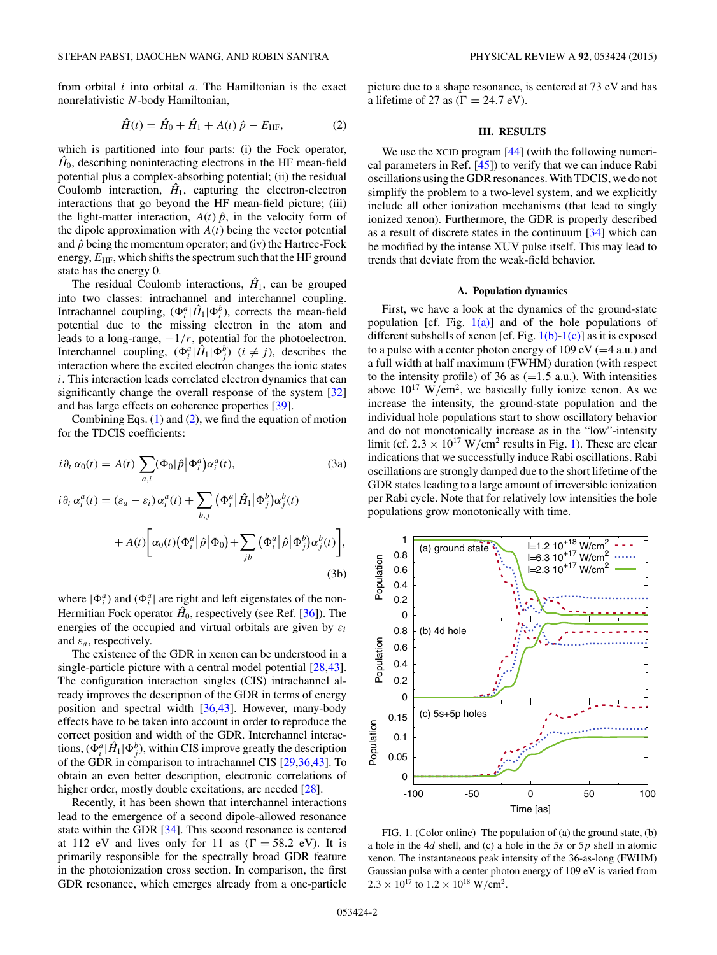<span id="page-1-0"></span>from orbital *i* into orbital *a*. The Hamiltonian is the exact nonrelativistic *N*-body Hamiltonian,

$$
\hat{H}(t) = \hat{H}_0 + \hat{H}_1 + A(t)\hat{p} - E_{\text{HF}},
$$
 (2)

which is partitioned into four parts: (i) the Fock operator,  $\hat{H}_0$ , describing noninteracting electrons in the HF mean-field potential plus a complex-absorbing potential; (ii) the residual Coulomb interaction,  $\hat{H}_1$ , capturing the electron-electron interactions that go beyond the HF mean-field picture; (iii) the light-matter interaction,  $A(t)$   $\hat{p}$ , in the velocity form of the dipole approximation with  $A(t)$  being the vector potential and  $\hat{p}$  being the momentum operator; and (iv) the Hartree-Fock energy,  $E_{HF}$ , which shifts the spectrum such that the HF ground state has the energy 0.

The residual Coulomb interactions,  $\hat{H}_1$ , can be grouped into two classes: intrachannel and interchannel coupling. Intrachannel coupling,  $(\Phi_i^a | \hat{H}_1 | \Phi_i^b)$ , corrects the mean-field potential due to the missing electron in the atom and leads to a long-range,  $-1/r$ , potential for the photoelectron. Interchannel coupling,  $(\Phi_i^a | \hat{H}_1 | \Phi_j^b)$   $(i \neq j)$ , describes the interaction where the excited electron changes the ionic states *i*. This interaction leads correlated electron dynamics that can significantly change the overall response of the system [\[32\]](#page-4-0) and has large effects on coherence properties [\[39\]](#page-5-0).

Combining Eqs.  $(1)$  and  $(2)$ , we find the equation of motion for the TDCIS coefficients:

$$
i\partial_t \alpha_0(t) = A(t) \sum_{a,i} (\Phi_0|\hat{p}| \Phi_i^a) \alpha_i^a(t),
$$
\n(3a)  
\n
$$
i\partial_t \alpha_i^a(t) = (\varepsilon_a - \varepsilon_i) \alpha_i^a(t) + \sum_{b,j} (\Phi_i^a|\hat{H}_1| \Phi_j^b) \alpha_j^b(t)
$$
\n
$$
+ A(t) \bigg[ \alpha_0(t) (\Phi_i^a|\hat{p}| \Phi_0) + \sum_{jb} (\Phi_i^a|\hat{p}| \Phi_j^b) \alpha_j^b(t) \bigg],
$$
\n(3b)

where  $|\Phi_i^a|$  and  $(\Phi_i^a|$  are right and left eigenstates of the non-Hermitian Fock operator  $\hat{H}_0$ , respectively (see Ref. [\[36\]](#page-4-0)). The energies of the occupied and virtual orbitals are given by  $\varepsilon_i$ and  $\varepsilon_a$ , respectively.

The existence of the GDR in xenon can be understood in a single-particle picture with a central model potential [\[28](#page-4-0)[,43\]](#page-5-0). The configuration interaction singles (CIS) intrachannel already improves the description of the GDR in terms of energy position and spectral width [\[36,](#page-4-0)[43\]](#page-5-0). However, many-body effects have to be taken into account in order to reproduce the correct position and width of the GDR. Interchannel interactions,  $(\hat{\Phi}_i^a | \hat{H}_1 | \Phi_j^b)$ , within CIS improve greatly the description of the GDR in comparison to intrachannel CIS [\[29,36](#page-4-0)[,43\]](#page-5-0). To obtain an even better description, electronic correlations of higher order, mostly double excitations, are needed [\[28\]](#page-4-0).

Recently, it has been shown that interchannel interactions lead to the emergence of a second dipole-allowed resonance state within the GDR [\[34\]](#page-4-0). This second resonance is centered at 112 eV and lives only for 11 as  $(\Gamma = 58.2 \text{ eV})$ . It is primarily responsible for the spectrally broad GDR feature in the photoionization cross section. In comparison, the first GDR resonance, which emerges already from a one-particle

picture due to a shape resonance, is centered at 73 eV and has a lifetime of 27 as  $(\Gamma = 24.7 \text{ eV})$ .

## **III. RESULTS**

We use the XCID program [\[44\]](#page-5-0) (with the following numerical parameters in Ref. [\[45\]](#page-5-0)) to verify that we can induce Rabi oscillations using the GDR resonances.With TDCIS, we do not simplify the problem to a two-level system, and we explicitly include all other ionization mechanisms (that lead to singly ionized xenon). Furthermore, the GDR is properly described as a result of discrete states in the continuum [\[34\]](#page-4-0) which can be modified by the intense XUV pulse itself. This may lead to trends that deviate from the weak-field behavior.

## **A. Population dynamics**

First, we have a look at the dynamics of the ground-state population [cf. Fig.  $1(a)$ ] and of the hole populations of different subshells of xenon [cf. Fig.  $1(b) - 1(c)$ ] as it is exposed to a pulse with a center photon energy of 109 eV  $(=4 \text{ a.u.})$  and a full width at half maximum (FWHM) duration (with respect to the intensity profile) of 36 as  $(=1.5 \text{ a.u.})$ . With intensities above  $10^{17}$  W/cm<sup>2</sup>, we basically fully ionize xenon. As we increase the intensity, the ground-state population and the individual hole populations start to show oscillatory behavior and do not monotonically increase as in the "low"-intensity limit (cf.  $2.3 \times 10^{17}$  W/cm<sup>2</sup> results in Fig. 1). These are clear indications that we successfully induce Rabi oscillations. Rabi oscillations are strongly damped due to the short lifetime of the GDR states leading to a large amount of irreversible ionization per Rabi cycle. Note that for relatively low intensities the hole populations grow monotonically with time.



FIG. 1. (Color online) The population of (a) the ground state, (b) a hole in the 4*d* shell, and (c) a hole in the 5*s* or 5*p* shell in atomic xenon. The instantaneous peak intensity of the 36-as-long (FWHM) Gaussian pulse with a center photon energy of 109 eV is varied from  $2.3 \times 10^{17}$  to  $1.2 \times 10^{18}$  W/cm<sup>2</sup>.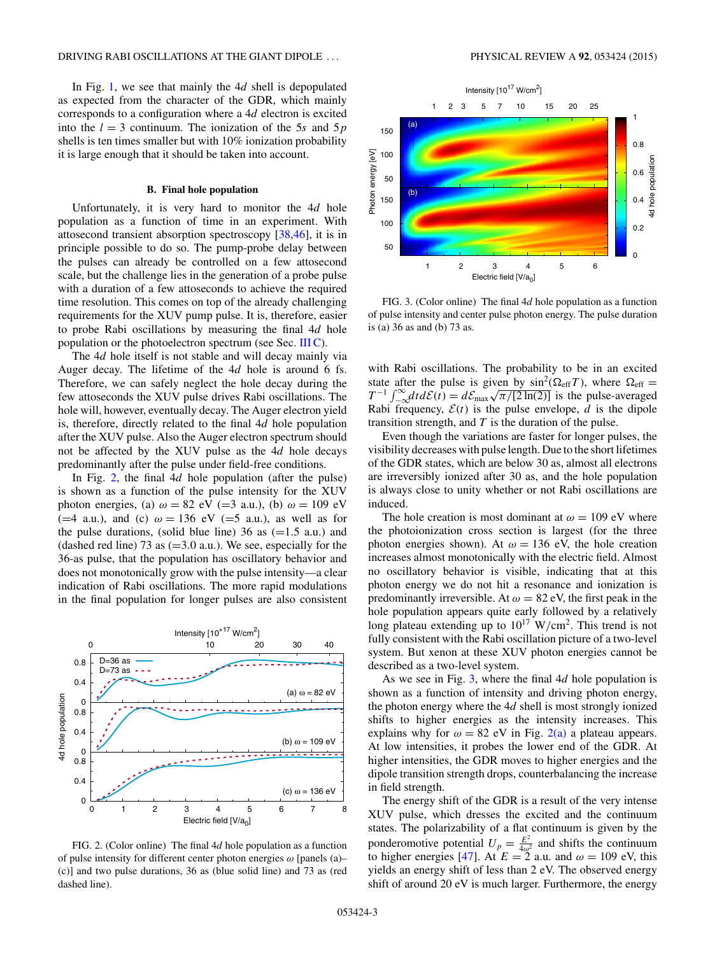<span id="page-2-0"></span>In Fig. [1,](#page-1-0) we see that mainly the 4*d* shell is depopulated as expected from the character of the GDR, which mainly corresponds to a configuration where a 4*d* electron is excited into the  $l = 3$  continuum. The ionization of the 5*s* and 5*p* shells is ten times smaller but with 10% ionization probability it is large enough that it should be taken into account.

## **B. Final hole population**

Unfortunately, it is very hard to monitor the 4*d* hole population as a function of time in an experiment. With attosecond transient absorption spectroscopy [\[38](#page-4-0)[,46\]](#page-5-0), it is in principle possible to do so. The pump-probe delay between the pulses can already be controlled on a few attosecond scale, but the challenge lies in the generation of a probe pulse with a duration of a few attoseconds to achieve the required time resolution. This comes on top of the already challenging requirements for the XUV pump pulse. It is, therefore, easier to probe Rabi oscillations by measuring the final 4*d* hole population or the photoelectron spectrum (see Sec. [III C\)](#page-3-0).

The 4*d* hole itself is not stable and will decay mainly via Auger decay. The lifetime of the 4*d* hole is around 6 fs. Therefore, we can safely neglect the hole decay during the few attoseconds the XUV pulse drives Rabi oscillations. The hole will, however, eventually decay. The Auger electron yield is, therefore, directly related to the final 4*d* hole population after the XUV pulse. Also the Auger electron spectrum should not be affected by the XUV pulse as the 4*d* hole decays predominantly after the pulse under field-free conditions.

In Fig. 2, the final 4*d* hole population (after the pulse) is shown as a function of the pulse intensity for the XUV photon energies, (a)  $\omega = 82$  eV (=3 a.u.), (b)  $\omega = 109$  eV (=4 a.u.), and (c)  $\omega = 136$  eV (=5 a.u.), as well as for the pulse durations, (solid blue line)  $36$  as  $(=1.5 \text{ a.u.})$  and (dashed red line) 73 as (=3*.*0 a.u.). We see, especially for the 36-as pulse, that the population has oscillatory behavior and does not monotonically grow with the pulse intensity—a clear indication of Rabi oscillations. The more rapid modulations in the final population for longer pulses are also consistent



FIG. 2. (Color online) The final 4*d* hole population as a function of pulse intensity for different center photon energies *ω* [panels (a)– (c)] and two pulse durations, 36 as (blue solid line) and 73 as (red dashed line).



FIG. 3. (Color online) The final 4*d* hole population as a function of pulse intensity and center pulse photon energy. The pulse duration is (a) 36 as and (b) 73 as.

with Rabi oscillations. The probability to be in an excited state after the pulse is given by  $\sin^2(\Omega_{\text{eff}}T)$ , where  $\Omega_{\text{eff}}$  =  $T^{-1}$   $\int_{-\infty}^{\infty} dt d\mathcal{E}(t) = d\mathcal{E}_{\text{max}} \sqrt{\pi/[2 \ln(2)]}$  is the pulse-averaged Rabi frequency,  $\mathcal{E}(t)$  is the pulse envelope,  $d$  is the dipole transition strength, and *T* is the duration of the pulse.

Even though the variations are faster for longer pulses, the visibility decreases with pulse length. Due to the short lifetimes of the GDR states, which are below 30 as, almost all electrons are irreversibly ionized after 30 as, and the hole population is always close to unity whether or not Rabi oscillations are induced.

The hole creation is most dominant at  $\omega = 109$  eV where the photoionization cross section is largest (for the three photon energies shown). At  $\omega = 136$  eV, the hole creation increases almost monotonically with the electric field. Almost no oscillatory behavior is visible, indicating that at this photon energy we do not hit a resonance and ionization is predominantly irreversible. At  $\omega = 82$  eV, the first peak in the hole population appears quite early followed by a relatively long plateau extending up to  $10^{17}$  W/cm<sup>2</sup>. This trend is not fully consistent with the Rabi oscillation picture of a two-level system. But xenon at these XUV photon energies cannot be described as a two-level system.

As we see in Fig. 3, where the final 4*d* hole population is shown as a function of intensity and driving photon energy, the photon energy where the 4*d* shell is most strongly ionized shifts to higher energies as the intensity increases. This explains why for  $\omega = 82$  eV in Fig. 2(a) a plateau appears. At low intensities, it probes the lower end of the GDR. At higher intensities, the GDR moves to higher energies and the dipole transition strength drops, counterbalancing the increase in field strength.

The energy shift of the GDR is a result of the very intense XUV pulse, which dresses the excited and the continuum states. The polarizability of a flat continuum is given by the ponderomotive potential  $U_p = \frac{E^2}{4\omega^2}$  and shifts the continuum to higher energies [\[47\]](#page-5-0). At  $E = 2$  a.u. and  $\omega = 109$  eV, this yields an energy shift of less than 2 eV. The observed energy shift of around 20 eV is much larger. Furthermore, the energy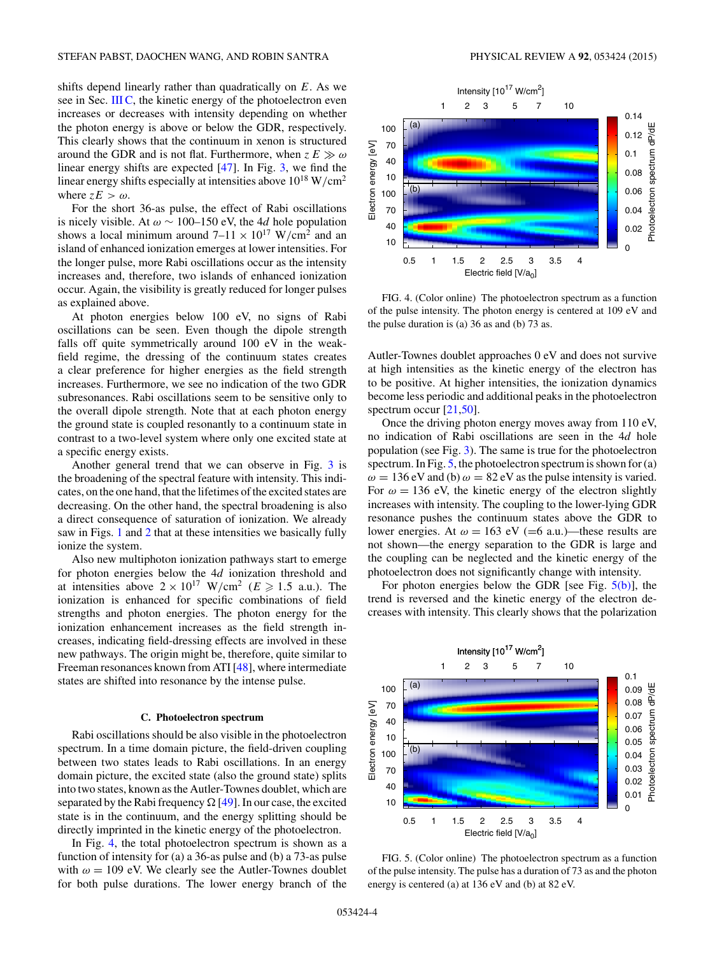<span id="page-3-0"></span>shifts depend linearly rather than quadratically on *E*. As we see in Sec. III C, the kinetic energy of the photoelectron even increases or decreases with intensity depending on whether the photon energy is above or below the GDR, respectively. This clearly shows that the continuum in xenon is structured around the GDR and is not flat. Furthermore, when  $z E \gg \omega$ linear energy shifts are expected [\[47\]](#page-5-0). In Fig. [3,](#page-2-0) we find the linear energy shifts especially at intensities above 1018 W*/*cm<sup>2</sup> where  $zE > \omega$ .

For the short 36-as pulse, the effect of Rabi oscillations is nicely visible. At  $\omega \sim 100-150$  eV, the 4*d* hole population shows a local minimum around  $7-11 \times 10^{17}$  W/cm<sup>2</sup> and an island of enhanced ionization emerges at lower intensities. For the longer pulse, more Rabi oscillations occur as the intensity increases and, therefore, two islands of enhanced ionization occur. Again, the visibility is greatly reduced for longer pulses as explained above.

At photon energies below 100 eV, no signs of Rabi oscillations can be seen. Even though the dipole strength falls off quite symmetrically around 100 eV in the weakfield regime, the dressing of the continuum states creates a clear preference for higher energies as the field strength increases. Furthermore, we see no indication of the two GDR subresonances. Rabi oscillations seem to be sensitive only to the overall dipole strength. Note that at each photon energy the ground state is coupled resonantly to a continuum state in contrast to a two-level system where only one excited state at a specific energy exists.

Another general trend that we can observe in Fig. [3](#page-2-0) is the broadening of the spectral feature with intensity. This indicates, on the one hand, that the lifetimes of the excited states are decreasing. On the other hand, the spectral broadening is also a direct consequence of saturation of ionization. We already saw in Figs. [1](#page-1-0) and [2](#page-2-0) that at these intensities we basically fully ionize the system.

Also new multiphoton ionization pathways start to emerge for photon energies below the 4*d* ionization threshold and at intensities above  $2 \times 10^{17}$  W/cm<sup>2</sup> ( $E \ge 1.5$  a.u.). The ionization is enhanced for specific combinations of field strengths and photon energies. The photon energy for the ionization enhancement increases as the field strength increases, indicating field-dressing effects are involved in these new pathways. The origin might be, therefore, quite similar to Freeman resonances known from ATI [\[48\]](#page-5-0), where intermediate states are shifted into resonance by the intense pulse.

#### **C. Photoelectron spectrum**

Rabi oscillations should be also visible in the photoelectron spectrum. In a time domain picture, the field-driven coupling between two states leads to Rabi oscillations. In an energy domain picture, the excited state (also the ground state) splits into two states, known as the Autler-Townes doublet, which are separated by the Rabi frequency  $\Omega$  [\[49\]](#page-5-0). In our case, the excited state is in the continuum, and the energy splitting should be directly imprinted in the kinetic energy of the photoelectron.

In Fig. 4, the total photoelectron spectrum is shown as a function of intensity for (a) a 36-as pulse and (b) a 73-as pulse with  $\omega = 109$  eV. We clearly see the Autler-Townes doublet for both pulse durations. The lower energy branch of the



FIG. 4. (Color online) The photoelectron spectrum as a function of the pulse intensity. The photon energy is centered at 109 eV and the pulse duration is (a) 36 as and (b) 73 as.

Autler-Townes doublet approaches 0 eV and does not survive at high intensities as the kinetic energy of the electron has to be positive. At higher intensities, the ionization dynamics become less periodic and additional peaks in the photoelectron spectrum occur [\[21](#page-4-0)[,50\]](#page-5-0).

Once the driving photon energy moves away from 110 eV, no indication of Rabi oscillations are seen in the 4*d* hole population (see Fig. [3\)](#page-2-0). The same is true for the photoelectron spectrum. In Fig.  $5$ , the photoelectron spectrum is shown for (a)  $\omega = 136 \text{ eV}$  and (b)  $\omega = 82 \text{ eV}$  as the pulse intensity is varied. For  $\omega = 136$  eV, the kinetic energy of the electron slightly increases with intensity. The coupling to the lower-lying GDR resonance pushes the continuum states above the GDR to lower energies. At  $\omega = 163$  eV (=6 a.u.)—these results are not shown—the energy separation to the GDR is large and the coupling can be neglected and the kinetic energy of the photoelectron does not significantly change with intensity.

For photon energies below the GDR [see Fig.  $5(b)$ ], the trend is reversed and the kinetic energy of the electron decreases with intensity. This clearly shows that the polarization



FIG. 5. (Color online) The photoelectron spectrum as a function of the pulse intensity. The pulse has a duration of 73 as and the photon energy is centered (a) at 136 eV and (b) at 82 eV.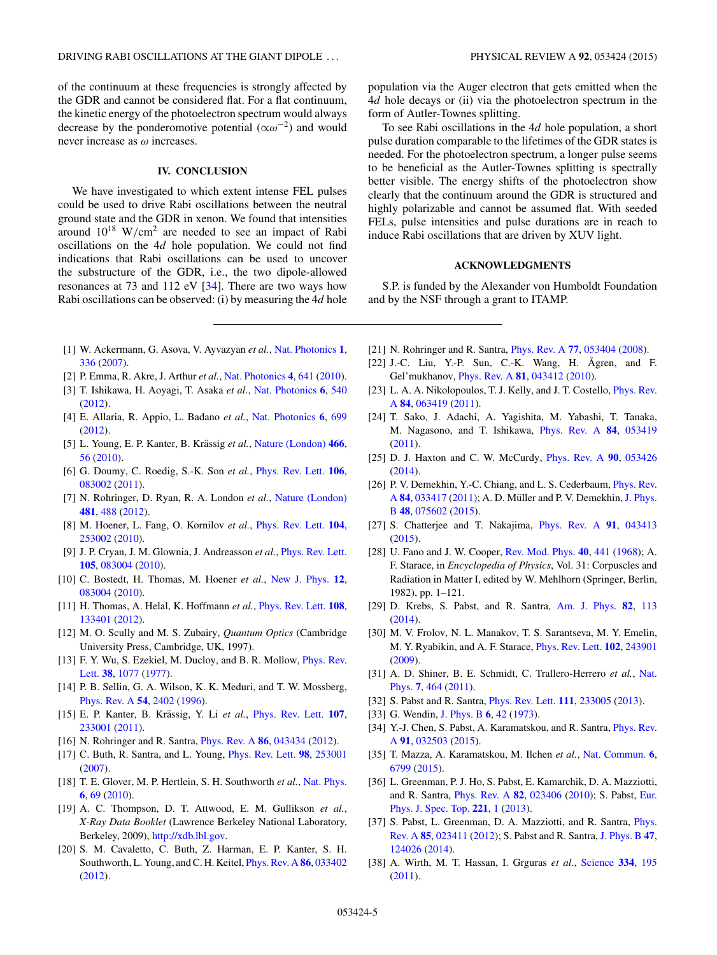<span id="page-4-0"></span>of the continuum at these frequencies is strongly affected by the GDR and cannot be considered flat. For a flat continuum, the kinetic energy of the photoelectron spectrum would always decrease by the ponderomotive potential ( $\alpha \omega^{-2}$ ) and would never increase as *ω* increases.

## **IV. CONCLUSION**

We have investigated to which extent intense FEL pulses could be used to drive Rabi oscillations between the neutral ground state and the GDR in xenon. We found that intensities around  $10^{18}$  W/cm<sup>2</sup> are needed to see an impact of Rabi oscillations on the 4*d* hole population. We could not find indications that Rabi oscillations can be used to uncover the substructure of the GDR, i.e., the two dipole-allowed resonances at 73 and 112 eV [34]. There are two ways how Rabi oscillations can be observed: (i) by measuring the 4*d* hole

pulse duration comparable to the lifetimes of the GDR states is needed. For the photoelectron spectrum, a longer pulse seems to be beneficial as the Autler-Townes splitting is spectrally better visible. The energy shifts of the photoelectron show clearly that the continuum around the GDR is structured and highly polarizable and cannot be assumed flat. With seeded FELs, pulse intensities and pulse durations are in reach to

#### **ACKNOWLEDGMENTS**

induce Rabi oscillations that are driven by XUV light.

population via the Auger electron that gets emitted when the 4*d* hole decays or (ii) via the photoelectron spectrum in the

To see Rabi oscillations in the 4*d* hole population, a short

form of Autler-Townes splitting.

S.P. is funded by the Alexander von Humboldt Foundation and by the NSF through a grant to ITAMP.

- [1] W. Ackermann, G. Asova, V. Ayvazyan *et al.*, [Nat. Photonics](http://dx.doi.org/10.1038/nphoton.2007.76) **[1](http://dx.doi.org/10.1038/nphoton.2007.76)**, [336](http://dx.doi.org/10.1038/nphoton.2007.76) [\(2007\)](http://dx.doi.org/10.1038/nphoton.2007.76).
- [2] P. Emma, R. Akre, J. Arthur *et al.*, [Nat. Photonics](http://dx.doi.org/10.1038/nphoton.2010.176) **[4](http://dx.doi.org/10.1038/nphoton.2010.176)**, [641](http://dx.doi.org/10.1038/nphoton.2010.176) [\(2010\)](http://dx.doi.org/10.1038/nphoton.2010.176).
- [3] T. Ishikawa, H. Aoyagi, T. Asaka *et al.*, [Nat. Photonics](http://dx.doi.org/10.1038/nphoton.2012.141) **[6](http://dx.doi.org/10.1038/nphoton.2012.141)**, [540](http://dx.doi.org/10.1038/nphoton.2012.141) [\(2012\)](http://dx.doi.org/10.1038/nphoton.2012.141).
- [4] E. Allaria, R. Appio, L. Badano *et al.*, [Nat. Photonics](http://dx.doi.org/10.1038/nphoton.2012.233) **[6](http://dx.doi.org/10.1038/nphoton.2012.233)**, [699](http://dx.doi.org/10.1038/nphoton.2012.233) [\(2012\)](http://dx.doi.org/10.1038/nphoton.2012.233).
- [5] L. Young, E. P. Kanter, B. Krässig et al., [Nature \(London\)](http://dx.doi.org/10.1038/nature09177) [466](http://dx.doi.org/10.1038/nature09177), [56](http://dx.doi.org/10.1038/nature09177) [\(2010\)](http://dx.doi.org/10.1038/nature09177).
- [6] G. Doumy, C. Roedig, S.-K. Son *et al.*, [Phys. Rev. Lett.](http://dx.doi.org/10.1103/PhysRevLett.106.083002) **[106](http://dx.doi.org/10.1103/PhysRevLett.106.083002)**, [083002](http://dx.doi.org/10.1103/PhysRevLett.106.083002) [\(2011\)](http://dx.doi.org/10.1103/PhysRevLett.106.083002).
- [7] N. Rohringer, D. Ryan, R. A. London *et al.*, [Nature \(London\)](http://dx.doi.org/10.1038/nature10721) **[481](http://dx.doi.org/10.1038/nature10721)**, [488](http://dx.doi.org/10.1038/nature10721) [\(2012\)](http://dx.doi.org/10.1038/nature10721).
- [8] M. Hoener, L. Fang, O. Kornilov *et al.*, [Phys. Rev. Lett.](http://dx.doi.org/10.1103/PhysRevLett.104.253002) **[104](http://dx.doi.org/10.1103/PhysRevLett.104.253002)**, [253002](http://dx.doi.org/10.1103/PhysRevLett.104.253002) [\(2010\)](http://dx.doi.org/10.1103/PhysRevLett.104.253002).
- [9] J. P. Cryan, J. M. Glownia, J. Andreasson *et al.*, [Phys. Rev. Lett.](http://dx.doi.org/10.1103/PhysRevLett.105.083004) **[105](http://dx.doi.org/10.1103/PhysRevLett.105.083004)**, [083004](http://dx.doi.org/10.1103/PhysRevLett.105.083004) [\(2010\)](http://dx.doi.org/10.1103/PhysRevLett.105.083004).
- [10] C. Bostedt, H. Thomas, M. Hoener *et al.*, [New J. Phys.](http://dx.doi.org/10.1088/1367-2630/12/8/083004) **[12](http://dx.doi.org/10.1088/1367-2630/12/8/083004)**, [083004](http://dx.doi.org/10.1088/1367-2630/12/8/083004) [\(2010\)](http://dx.doi.org/10.1088/1367-2630/12/8/083004).
- [11] H. Thomas, A. Helal, K. Hoffmann *et al.*, [Phys. Rev. Lett.](http://dx.doi.org/10.1103/PhysRevLett.108.133401) **[108](http://dx.doi.org/10.1103/PhysRevLett.108.133401)**, [133401](http://dx.doi.org/10.1103/PhysRevLett.108.133401) [\(2012\)](http://dx.doi.org/10.1103/PhysRevLett.108.133401).
- [12] M. O. Scully and M. S. Zubairy, *Quantum Optics* (Cambridge University Press, Cambridge, UK, 1997).
- [13] [F. Y. Wu, S. Ezekiel, M. Ducloy, and B. R. Mollow,](http://dx.doi.org/10.1103/PhysRevLett.38.1077) *Phys. Rev.* Lett. **[38](http://dx.doi.org/10.1103/PhysRevLett.38.1077)**, [1077](http://dx.doi.org/10.1103/PhysRevLett.38.1077) [\(1977\)](http://dx.doi.org/10.1103/PhysRevLett.38.1077).
- [14] P. B. Sellin, G. A. Wilson, K. K. Meduri, and T. W. Mossberg, [Phys. Rev. A](http://dx.doi.org/10.1103/PhysRevA.54.2402) **[54](http://dx.doi.org/10.1103/PhysRevA.54.2402)**, [2402](http://dx.doi.org/10.1103/PhysRevA.54.2402) [\(1996\)](http://dx.doi.org/10.1103/PhysRevA.54.2402).
- [15] E. P. Kanter, B. Krässig, Y. Li et al., *[Phys. Rev. Lett.](http://dx.doi.org/10.1103/PhysRevLett.107.233001)* **[107](http://dx.doi.org/10.1103/PhysRevLett.107.233001)**, [233001](http://dx.doi.org/10.1103/PhysRevLett.107.233001) [\(2011\)](http://dx.doi.org/10.1103/PhysRevLett.107.233001).
- [16] N. Rohringer and R. Santra, [Phys. Rev. A](http://dx.doi.org/10.1103/PhysRevA.86.043434) **[86](http://dx.doi.org/10.1103/PhysRevA.86.043434)**, [043434](http://dx.doi.org/10.1103/PhysRevA.86.043434) [\(2012\)](http://dx.doi.org/10.1103/PhysRevA.86.043434).
- [17] C. Buth, R. Santra, and L. Young, [Phys. Rev. Lett.](http://dx.doi.org/10.1103/PhysRevLett.98.253001) **[98](http://dx.doi.org/10.1103/PhysRevLett.98.253001)**, [253001](http://dx.doi.org/10.1103/PhysRevLett.98.253001) [\(2007\)](http://dx.doi.org/10.1103/PhysRevLett.98.253001).
- [18] T. E. Glover, M. P. Hertlein, S. H. Southworth *et al.*, [Nat. Phys.](http://dx.doi.org/10.1038/nphys1430) **[6](http://dx.doi.org/10.1038/nphys1430)**, [69](http://dx.doi.org/10.1038/nphys1430) [\(2010\)](http://dx.doi.org/10.1038/nphys1430).
- [19] A. C. Thompson, D. T. Attwood, E. M. Gullikson *et al.*, *X-Ray Data Booklet* (Lawrence Berkeley National Laboratory, Berkeley, 2009), [http://xdb.lbl.gov.](http://xdb.lbl.gov)
- [20] S. M. Cavaletto, C. Buth, Z. Harman, E. P. Kanter, S. H. Southworth, L. Young, and C. H. Keitel, [Phys. Rev. A](http://dx.doi.org/10.1103/PhysRevA.86.033402) **[86](http://dx.doi.org/10.1103/PhysRevA.86.033402)**, [033402](http://dx.doi.org/10.1103/PhysRevA.86.033402) [\(2012\)](http://dx.doi.org/10.1103/PhysRevA.86.033402).
- [21] N. Rohringer and R. Santra, [Phys. Rev. A](http://dx.doi.org/10.1103/PhysRevA.77.053404) **[77](http://dx.doi.org/10.1103/PhysRevA.77.053404)**, [053404](http://dx.doi.org/10.1103/PhysRevA.77.053404) [\(2008\)](http://dx.doi.org/10.1103/PhysRevA.77.053404).
- [22] J.-C. Liu, Y.-P. Sun, C.-K. Wang, H. Ågren, and F. Gel'mukhanov, [Phys. Rev. A](http://dx.doi.org/10.1103/PhysRevA.81.043412) **[81](http://dx.doi.org/10.1103/PhysRevA.81.043412)**, [043412](http://dx.doi.org/10.1103/PhysRevA.81.043412) [\(2010\)](http://dx.doi.org/10.1103/PhysRevA.81.043412).
- [23] [L. A. A. Nikolopoulos, T. J. Kelly, and J. T. Costello,](http://dx.doi.org/10.1103/PhysRevA.84.063419) *Phys. Rev.* A **[84](http://dx.doi.org/10.1103/PhysRevA.84.063419)**, [063419](http://dx.doi.org/10.1103/PhysRevA.84.063419) [\(2011\)](http://dx.doi.org/10.1103/PhysRevA.84.063419).
- [24] T. Sako, J. Adachi, A. Yagishita, M. Yabashi, T. Tanaka, M. Nagasono, and T. Ishikawa, [Phys. Rev. A](http://dx.doi.org/10.1103/PhysRevA.84.053419) **[84](http://dx.doi.org/10.1103/PhysRevA.84.053419)**, [053419](http://dx.doi.org/10.1103/PhysRevA.84.053419) [\(2011\)](http://dx.doi.org/10.1103/PhysRevA.84.053419).
- [25] D. J. Haxton and C. W. McCurdy, [Phys. Rev. A](http://dx.doi.org/10.1103/PhysRevA.90.053426) **[90](http://dx.doi.org/10.1103/PhysRevA.90.053426)**, [053426](http://dx.doi.org/10.1103/PhysRevA.90.053426) [\(2014\)](http://dx.doi.org/10.1103/PhysRevA.90.053426).
- [26] [P. V. Demekhin, Y.-C. Chiang, and L. S. Cederbaum,](http://dx.doi.org/10.1103/PhysRevA.84.033417) *Phys. Rev.* A [84](http://dx.doi.org/10.1103/PhysRevA.84.033417), [033417](http://dx.doi.org/10.1103/PhysRevA.84.033417) [\(](http://dx.doi.org/10.1088/0953-4075/48/7/075602)[2011](http://dx.doi.org/10.1103/PhysRevA.84.033417)); A. D. Müller and P. V. Demekhin, J. Phys. B **[48](http://dx.doi.org/10.1088/0953-4075/48/7/075602)**, [075602](http://dx.doi.org/10.1088/0953-4075/48/7/075602) [\(2015\)](http://dx.doi.org/10.1088/0953-4075/48/7/075602).
- [27] S. Chatterjee and T. Nakajima, [Phys. Rev. A](http://dx.doi.org/10.1103/PhysRevA.91.043413) **[91](http://dx.doi.org/10.1103/PhysRevA.91.043413)**, [043413](http://dx.doi.org/10.1103/PhysRevA.91.043413) [\(2015\)](http://dx.doi.org/10.1103/PhysRevA.91.043413).
- [28] U. Fano and J. W. Cooper, [Rev. Mod. Phys.](http://dx.doi.org/10.1103/RevModPhys.40.441) **[40](http://dx.doi.org/10.1103/RevModPhys.40.441)**, [441](http://dx.doi.org/10.1103/RevModPhys.40.441) [\(1968\)](http://dx.doi.org/10.1103/RevModPhys.40.441); A. F. Starace, in *Encyclopedia of Physics*, Vol. 31: Corpuscles and Radiation in Matter I, edited by W. Mehlhorn (Springer, Berlin, 1982), pp. 1–121.
- [29] D. Krebs, S. Pabst, and R. Santra, [Am. J. Phys.](http://dx.doi.org/10.1119/1.4827015) **[82](http://dx.doi.org/10.1119/1.4827015)**, [113](http://dx.doi.org/10.1119/1.4827015) [\(2014\)](http://dx.doi.org/10.1119/1.4827015).
- [30] M. V. Frolov, N. L. Manakov, T. S. Sarantseva, M. Y. Emelin, M. Y. Ryabikin, and A. F. Starace, [Phys. Rev. Lett.](http://dx.doi.org/10.1103/PhysRevLett.102.243901) **[102](http://dx.doi.org/10.1103/PhysRevLett.102.243901)**, [243901](http://dx.doi.org/10.1103/PhysRevLett.102.243901) [\(2009\)](http://dx.doi.org/10.1103/PhysRevLett.102.243901).
- [31] [A. D. Shiner, B. E. Schmidt, C. Trallero-Herrero](http://dx.doi.org/10.1038/nphys1940) *et al.*, Nat. Phys. **[7](http://dx.doi.org/10.1038/nphys1940)**, [464](http://dx.doi.org/10.1038/nphys1940) [\(2011\)](http://dx.doi.org/10.1038/nphys1940).
- [32] S. Pabst and R. Santra, [Phys. Rev. Lett.](http://dx.doi.org/10.1103/PhysRevLett.111.233005) **[111](http://dx.doi.org/10.1103/PhysRevLett.111.233005)**, [233005](http://dx.doi.org/10.1103/PhysRevLett.111.233005) [\(2013\)](http://dx.doi.org/10.1103/PhysRevLett.111.233005).
- [33] G. Wendin, [J. Phys. B](http://dx.doi.org/10.1088/0022-3700/6/1/007) **[6](http://dx.doi.org/10.1088/0022-3700/6/1/007)**, [42](http://dx.doi.org/10.1088/0022-3700/6/1/007) [\(1973\)](http://dx.doi.org/10.1088/0022-3700/6/1/007).
- [34] [Y.-J. Chen, S. Pabst, A. Karamatskou, and R. Santra,](http://dx.doi.org/10.1103/PhysRevA.91.032503) *Phys. Rev.* A **[91](http://dx.doi.org/10.1103/PhysRevA.91.032503)**, [032503](http://dx.doi.org/10.1103/PhysRevA.91.032503) [\(2015\)](http://dx.doi.org/10.1103/PhysRevA.91.032503).
- [35] T. Mazza, A. Karamatskou, M. Ilchen *et al.*, [Nat. Commun.](http://dx.doi.org/10.1038/ncomms7799) **[6](http://dx.doi.org/10.1038/ncomms7799)**, [6799](http://dx.doi.org/10.1038/ncomms7799) [\(2015\)](http://dx.doi.org/10.1038/ncomms7799).
- [36] L. Greenman, P. J. Ho, S. Pabst, E. Kamarchik, D. A. Mazziotti, and R. Santra, [Phys. Rev. A](http://dx.doi.org/10.1103/PhysRevA.82.023406) **[82](http://dx.doi.org/10.1103/PhysRevA.82.023406)**, [023406](http://dx.doi.org/10.1103/PhysRevA.82.023406) [\(2010\)](http://dx.doi.org/10.1103/PhysRevA.82.023406); S. Pabst, Eur. [Phys. J. Spec. Top.](http://dx.doi.org/10.1140/epjst/e2013-01819-x) **[221](http://dx.doi.org/10.1140/epjst/e2013-01819-x)**, [1](http://dx.doi.org/10.1140/epjst/e2013-01819-x) [\(2013\)](http://dx.doi.org/10.1140/epjst/e2013-01819-x).
- [37] [S. Pabst, L. Greenman, D. A. Mazziotti, and R. Santra,](http://dx.doi.org/10.1103/PhysRevA.85.023411) *Phys.* Rev. A **[85](http://dx.doi.org/10.1103/PhysRevA.85.023411)**, [023411](http://dx.doi.org/10.1103/PhysRevA.85.023411) [\(2012\)](http://dx.doi.org/10.1103/PhysRevA.85.023411); S. Pabst and R. Santra, [J. Phys. B](http://dx.doi.org/10.1088/0953-4075/47/12/124026) **[47](http://dx.doi.org/10.1088/0953-4075/47/12/124026)**, [124026](http://dx.doi.org/10.1088/0953-4075/47/12/124026) [\(2014\)](http://dx.doi.org/10.1088/0953-4075/47/12/124026).
- [38] A. Wirth, M. T. Hassan, I. Grguras *et al.*, [Science](http://dx.doi.org/10.1126/science.1210268) **[334](http://dx.doi.org/10.1126/science.1210268)**, [195](http://dx.doi.org/10.1126/science.1210268) [\(2011\)](http://dx.doi.org/10.1126/science.1210268).